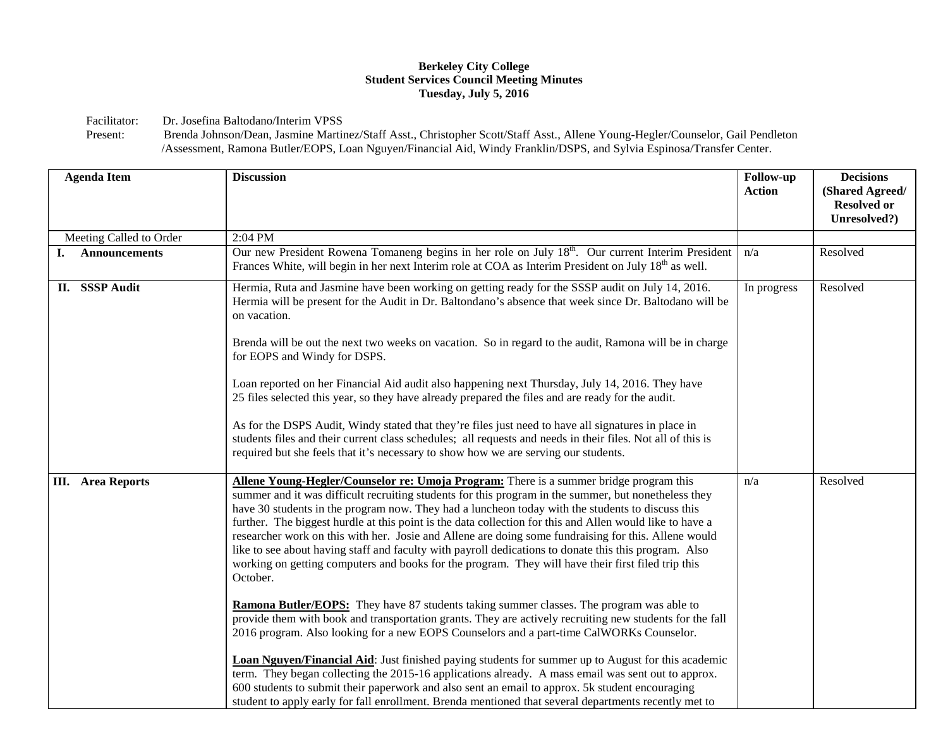## **Berkeley City College Student Services Council Meeting Minutes Tuesday, July 5, 2016**

Facilitator: Dr. Josefina Baltodano/Interim VPSS<br>Present: Brenda Johnson/Dean, Jasmine Martin

Brenda Johnson/Dean, Jasmine Martinez/Staff Asst., Christopher Scott/Staff Asst., Allene Young-Hegler/Counselor, Gail Pendleton /Assessment, Ramona Butler/EOPS, Loan Nguyen/Financial Aid, Windy Franklin/DSPS, and Sylvia Espinosa/Transfer Center.

| <b>Agenda Item</b>       | <b>Discussion</b>                                                                                                                                                                                                                                                                                                                                                                                                                                                                                                                                                                                                                                                                                                                                                                                                                                                                                                                                                                                                                                                                                                                                                                                                                                                                                                                                                                                                                                                                    | Follow-up<br><b>Action</b> | <b>Decisions</b><br>(Shared Agreed/<br><b>Resolved or</b><br>Unresolved?) |
|--------------------------|--------------------------------------------------------------------------------------------------------------------------------------------------------------------------------------------------------------------------------------------------------------------------------------------------------------------------------------------------------------------------------------------------------------------------------------------------------------------------------------------------------------------------------------------------------------------------------------------------------------------------------------------------------------------------------------------------------------------------------------------------------------------------------------------------------------------------------------------------------------------------------------------------------------------------------------------------------------------------------------------------------------------------------------------------------------------------------------------------------------------------------------------------------------------------------------------------------------------------------------------------------------------------------------------------------------------------------------------------------------------------------------------------------------------------------------------------------------------------------------|----------------------------|---------------------------------------------------------------------------|
| Meeting Called to Order  | 2:04 PM                                                                                                                                                                                                                                                                                                                                                                                                                                                                                                                                                                                                                                                                                                                                                                                                                                                                                                                                                                                                                                                                                                                                                                                                                                                                                                                                                                                                                                                                              |                            |                                                                           |
| <b>Announcements</b>     | Our new President Rowena Tomaneng begins in her role on July 18 <sup>th</sup> . Our current Interim President<br>Frances White, will begin in her next Interim role at COA as Interim President on July 18 <sup>th</sup> as well.                                                                                                                                                                                                                                                                                                                                                                                                                                                                                                                                                                                                                                                                                                                                                                                                                                                                                                                                                                                                                                                                                                                                                                                                                                                    | n/a                        | Resolved                                                                  |
| II. SSSP Audit           | Hermia, Ruta and Jasmine have been working on getting ready for the SSSP audit on July 14, 2016.<br>Hermia will be present for the Audit in Dr. Baltondano's absence that week since Dr. Baltodano will be<br>on vacation.<br>Brenda will be out the next two weeks on vacation. So in regard to the audit, Ramona will be in charge<br>for EOPS and Windy for DSPS.<br>Loan reported on her Financial Aid audit also happening next Thursday, July 14, 2016. They have<br>25 files selected this year, so they have already prepared the files and are ready for the audit.<br>As for the DSPS Audit, Windy stated that they're files just need to have all signatures in place in<br>students files and their current class schedules; all requests and needs in their files. Not all of this is<br>required but she feels that it's necessary to show how we are serving our students.                                                                                                                                                                                                                                                                                                                                                                                                                                                                                                                                                                                            | In progress                | Resolved                                                                  |
| <b>III.</b> Area Reports | Allene Young-Hegler/Counselor re: Umoja Program: There is a summer bridge program this<br>summer and it was difficult recruiting students for this program in the summer, but nonetheless they<br>have 30 students in the program now. They had a luncheon today with the students to discuss this<br>further. The biggest hurdle at this point is the data collection for this and Allen would like to have a<br>researcher work on this with her. Josie and Allene are doing some fundraising for this. Allene would<br>like to see about having staff and faculty with payroll dedications to donate this this program. Also<br>working on getting computers and books for the program. They will have their first filed trip this<br>October.<br>Ramona Butler/EOPS: They have 87 students taking summer classes. The program was able to<br>provide them with book and transportation grants. They are actively recruiting new students for the fall<br>2016 program. Also looking for a new EOPS Counselors and a part-time CalWORKs Counselor.<br><b>Loan Nguyen/Financial Aid:</b> Just finished paying students for summer up to August for this academic<br>term. They began collecting the 2015-16 applications already. A mass email was sent out to approx.<br>600 students to submit their paperwork and also sent an email to approx. 5k student encouraging<br>student to apply early for fall enrollment. Brenda mentioned that several departments recently met to | n/a                        | Resolved                                                                  |